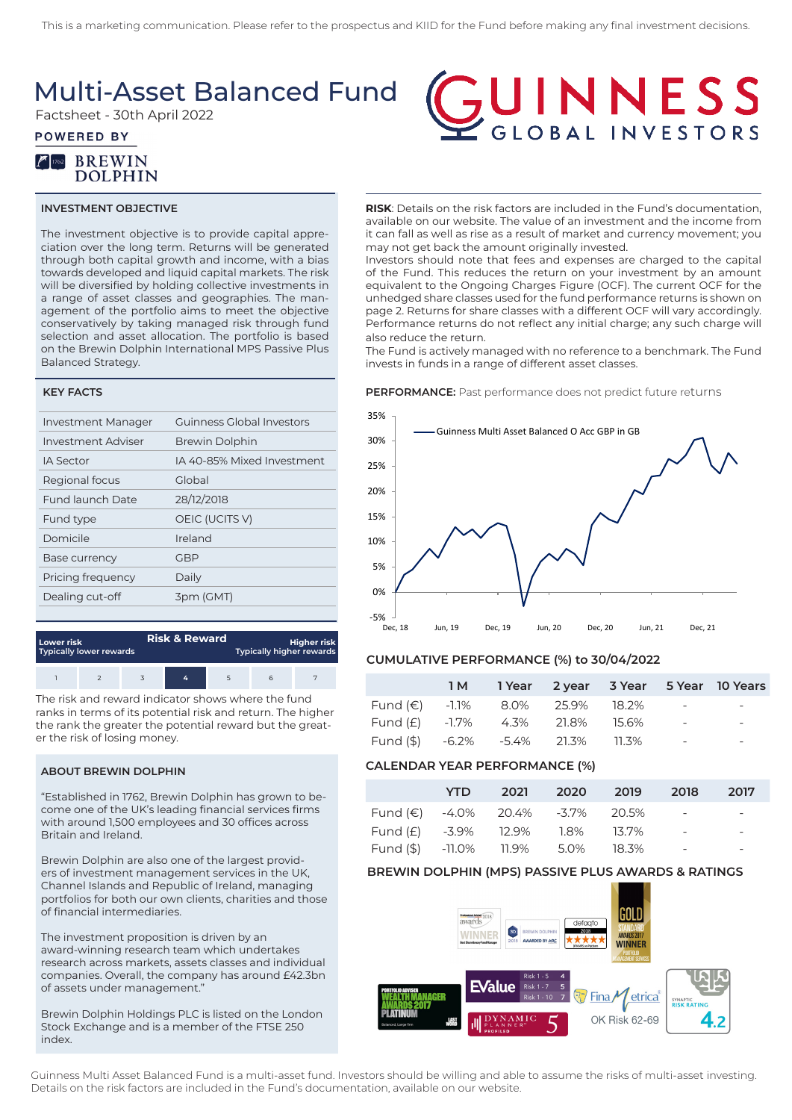### Multi-Asset Balanced Fund

Factsheet - 30th April 2022

### **POWERED BY**



### **INVESTMENT OBJECTIVE**

The investment objective is to provide capital appreciation over the long term. Returns will be generated through both capital growth and income, with a bias towards developed and liquid capital markets. The risk will be diversified by holding collective investments in a range of asset classes and geographies. The management of the portfolio aims to meet the objective conservatively by taking managed risk through fund selection and asset allocation. The portfolio is based on the Brewin Dolphin International MPS Passive Plus Balanced Strategy.

#### **KEY FACTS**

| <b>Investment Manager</b> | Guinness Global Investors  |
|---------------------------|----------------------------|
| <b>Investment Adviser</b> | <b>Brewin Dolphin</b>      |
| IA Sector                 | IA 40-85% Mixed Investment |
| Regional focus            | Global                     |
| Fund launch Date          | 28/12/2018                 |
| Fund type                 | OEIC (UCITS V)             |
| Domicile                  | Ireland                    |
| <b>Base currency</b>      | GBP                        |
| Pricing frequency         | Daily                      |
| Dealing cut-off           | 3pm (GMT)                  |
|                           |                            |

| Lower risk<br>Typically lower rewards |  | <b>Risk &amp; Reward</b> | <b>Higher risk</b><br><b>Typically higher rewards</b> |  |  |  |
|---------------------------------------|--|--------------------------|-------------------------------------------------------|--|--|--|
|                                       |  |                          | 6                                                     |  |  |  |

The risk and reward indicator shows where the fund ranks in terms of its potential risk and return. The higher the rank the greater the potential reward but the greater the risk of losing money.

### **ABOUT BREWIN DOLPHIN**

"Established in 1762, Brewin Dolphin has grown to become one of the UK's leading financial services firms with around 1,500 employees and 30 offices across Britain and Ireland.

Brewin Dolphin are also one of the largest providers of investment management services in the UK, Channel Islands and Republic of Ireland, managing portfolios for both our own clients, charities and those of financial intermediaries.

The investment proposition is driven by an award-winning research team which undertakes research across markets, assets classes and individual companies. Overall, the company has around £42.3bn of assets under management."

Brewin Dolphin Holdings PLC is listed on the London Stock Exchange and is a member of the FTSE 250 index.

# **GUINNESS**

**RISK**: Details on the risk factors are included in the Fund's documentation, available on our website. The value of an investment and the income from it can fall as well as rise as a result of market and currency movement; you may not get back the amount originally invested.

Investors should note that fees and expenses are charged to the capital of the Fund. This reduces the return on your investment by an amount equivalent to the Ongoing Charges Figure (OCF). The current OCF for the unhedged share classes used for the fund performance returns is shown on page 2. Returns for share classes with a different OCF will vary accordingly. Performance returns do not reflect any initial charge; any such charge will also reduce the return.

The Fund is actively managed with no reference to a benchmark. The Fund invests in funds in a range of different asset classes.

#### **PERFORMANCE:** Past performance does not predict future returns



### **CUMULATIVE PERFORMANCE (%) to 30/04/2022**

|                                      |  |  |                          | 1M 1 Year 2 year 3 Year 5 Year 10 Years |
|--------------------------------------|--|--|--------------------------|-----------------------------------------|
| Fund (€) $-1.1\%$ 8.0% 25.9% 18.2% - |  |  |                          |                                         |
| Fund (£) -1.7% 4.3% 21.8% 15.6%      |  |  | <b>Contract Contract</b> | $\overline{a}$                          |
| Fund (\$) -6.2% -5.4% 21.3% 11.3%    |  |  | $\sim$                   | $\overline{\phantom{0}}$                |

### **CALENDAR YEAR PERFORMANCE (%)**

|                                           | YTD - |  | 2021 2020 2019 2018 |                          | 2017                                |
|-------------------------------------------|-------|--|---------------------|--------------------------|-------------------------------------|
| Fund $(\epsilon)$ -4.0% 20.4% -3.7% 20.5% |       |  |                     | <b>Contract Contract</b> | and the contract of the contract of |
| Fund (£) -3.9% 12.9% 1.8% 13.7%           |       |  |                     | $\sim$ $-$               | $\overline{\phantom{0}}$            |
| Fund (\$) -11.0% 11.9% 5.0% 18.3%         |       |  |                     | $\sim$ $\sim$            | $\overline{\phantom{0}}$            |

### **BREWIN DOLPHIN (MPS) PASSIVE PLUS AWARDS & RATINGS**



Guinness Multi Asset Balanced Fund is a multi-asset fund. Investors should be willing and able to assume the risks of multi-asset investing. Details on the risk factors are included in the Fund's documentation, available on our website.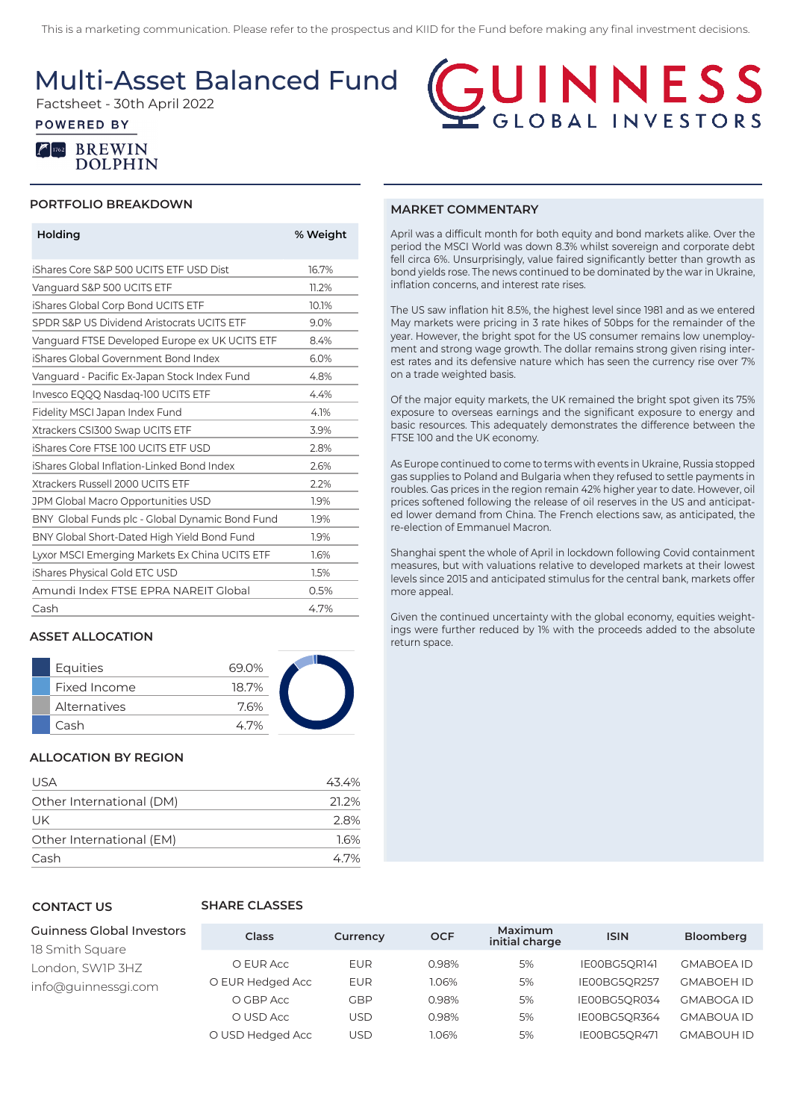This is a marketing communication. Please refer to the prospectus and KIID for the Fund before making any final investment decisions.

Multi-Asset Balanced Fund

Factsheet - 30th April 2022

### **POWERED BY**



## NNESS GLOBAL INVESTORS

### **PORTFOLIO BREAKDOWN**

| Holding                                         | % Weight |
|-------------------------------------------------|----------|
| iShares Core S&P 500 UCITS ETF USD Dist         | 16.7%    |
| Vanguard S&P 500 UCITS ETF                      | 11.2%    |
| iShares Global Corp Bond UCITS ETF              | 10.1%    |
| SPDR S&P US Dividend Aristocrats UCITS ETF      | 9.0%     |
| Vanguard FTSE Developed Europe ex UK UCITS ETF  | 8.4%     |
| iShares Global Government Bond Index            | 6.0%     |
| Vanguard - Pacific Ex-Japan Stock Index Fund    | 4.8%     |
| Invesco EQQQ Nasdag-100 UCITS ETF               | 4.4%     |
| Fidelity MSCI Japan Index Fund                  | 4.1%     |
| Xtrackers CSI300 Swap UCITS ETF                 | 3.9%     |
| iShares Core FTSE 100 UCITS ETF USD             | 2.8%     |
| iShares Global Inflation-Linked Bond Index      | 2.6%     |
| Xtrackers Russell 2000 UCITS ETF                | 2.2%     |
| JPM Global Macro Opportunities USD              | 1.9%     |
| BNY Global Funds plc - Global Dynamic Bond Fund | 1.9%     |
| BNY Global Short-Dated High Yield Bond Fund     | 1.9%     |
| Lyxor MSCI Emerging Markets Ex China UCITS ETF  | 1.6%     |
| iShares Physical Gold ETC USD                   | 1.5%     |
| Amundi Index FTSE EPRA NAREIT Global            | 0.5%     |
| Cash                                            | 4.7%     |

### **ASSET ALLOCATION**

| Equities     | 69.0% |  |
|--------------|-------|--|
| Fixed Income | 18.7% |  |
| Alternatives | 7.6%  |  |
| Cash         | 47%   |  |

### **ALLOCATION BY REGION**

| USA                      | 43.4% |
|--------------------------|-------|
| Other International (DM) | 21.2% |
| UK                       | 28%   |
| Other International (EM) | 16%   |
| Cash                     | 47%   |

### **CONTACT US**

### **SHARE CLASSES**

| Guinness Global Investors<br>18 Smith Square | Class            | Currency   | <b>OCF</b> | Maximum<br>initial charge | <b>ISIN</b>  | Bloomberg         |
|----------------------------------------------|------------------|------------|------------|---------------------------|--------------|-------------------|
| London, SW1P 3HZ                             | O EUR Acc        | <b>EUR</b> | 0.98%      | 5%                        | IE00BG5OR141 | <b>GMABOEA ID</b> |
| info@quinnessqi.com                          | O EUR Hedged Acc | <b>EUR</b> | 1.06%      | 5%                        | IE00BG5OR257 | <b>GMABOEH ID</b> |
|                                              | O GBP Acc        | GBP        | 0.98%      | 5%                        | IE00BG5OR034 | <b>GMABOGA ID</b> |
|                                              | O USD Acc        | USD        | 0.98%      | 5%                        | IE00BG5OR364 | <b>GMABOUA ID</b> |
|                                              | O USD Hedged Acc | USD        | 1.06%      | 5%                        | IE00BG5OR471 | <b>GMABOUH ID</b> |

### **MARKET COMMENTARY**

April was a difficult month for both equity and bond markets alike. Over the period the MSCI World was down 8.3% whilst sovereign and corporate debt fell circa 6%. Unsurprisingly, value faired significantly better than growth as bond yields rose. The news continued to be dominated by the war in Ukraine, inflation concerns, and interest rate rises.

The US saw inflation hit 8.5%, the highest level since 1981 and as we entered May markets were pricing in 3 rate hikes of 50bps for the remainder of the year. However, the bright spot for the US consumer remains low unemployment and strong wage growth. The dollar remains strong given rising interest rates and its defensive nature which has seen the currency rise over 7% on a trade weighted basis.

Of the major equity markets, the UK remained the bright spot given its 75% exposure to overseas earnings and the significant exposure to energy and basic resources. This adequately demonstrates the difference between the FTSE 100 and the UK economy.

As Europe continued to come to terms with events in Ukraine, Russia stopped gas supplies to Poland and Bulgaria when they refused to settle payments in roubles. Gas prices in the region remain 42% higher year to date. However, oil prices softened following the release of oil reserves in the US and anticipated lower demand from China. The French elections saw, as anticipated, the re-election of Emmanuel Macron.

Shanghai spent the whole of April in lockdown following Covid containment measures, but with valuations relative to developed markets at their lowest levels since 2015 and anticipated stimulus for the central bank, markets offer more appeal.

Given the continued uncertainty with the global economy, equities weightings were further reduced by 1% with the proceeds added to the absolute return space.